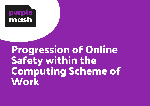## purple mash

# **Progression of Online Safety within the Computing Scheme of Work**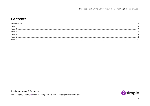### **Contents**

| Year 1 |  |
|--------|--|
| Year   |  |
| Year   |  |
|        |  |
| Year   |  |
|        |  |
|        |  |

Need more support? Contact us:

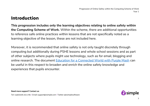### <span id="page-2-0"></span>**Introduction**

**This progression includes only the learning objectives relating to online safety within the Computing Scheme of Work.** Within the scheme, there are additional opportunities to reference safe online practices within lessons that are not specifically noted as a learning objective of the lesson, these are not included here.

Moreover, it is recommended that online safety is not only taught discretely through computing but additionally during PSHE lessons and whole school sessions and as part of other subjects where pupils might use technology, such as for email, blogging and online research. The document [Education for a Connected World with Purple Mash](https://www.purplemash.com/app/purplemash_in_england/PM_Education_for_a_connected_world) can be useful in this respect to broaden and enrich the online safety knowledge and experiences that pupils encounter.

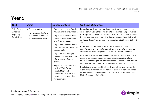<span id="page-3-0"></span>

| <b>Unit</b>                                                     | <b>Aims</b>                                                                                           | <b>Success criteria</b>                                                                                                                                                                                                                                                                                                                                                                                                                                                            | <b>Unit End Outcomes</b>                                                                                                                                                                                                                                                                                                                                                                                                                                                                                                                                                                                                                                                                                                                                                                                                                                                                                                                                                                                                                                                           |
|-----------------------------------------------------------------|-------------------------------------------------------------------------------------------------------|------------------------------------------------------------------------------------------------------------------------------------------------------------------------------------------------------------------------------------------------------------------------------------------------------------------------------------------------------------------------------------------------------------------------------------------------------------------------------------|------------------------------------------------------------------------------------------------------------------------------------------------------------------------------------------------------------------------------------------------------------------------------------------------------------------------------------------------------------------------------------------------------------------------------------------------------------------------------------------------------------------------------------------------------------------------------------------------------------------------------------------------------------------------------------------------------------------------------------------------------------------------------------------------------------------------------------------------------------------------------------------------------------------------------------------------------------------------------------------------------------------------------------------------------------------------------------|
| $1.1 - Online$<br>Safety and<br><b>Exploring</b><br>Purple Mash | • To log in safely.<br>• To start to understand<br>the idea of 'ownership'<br>of their creative work. | • Pupils can log in to Purple<br>Mash using their own login.<br>• Pupils have created their<br>own avatar and understand<br>why they are used.<br>• Pupils can add their name<br>to a picture they created on<br>the computer.<br>• Pupils are beginning to<br>develop an understanding<br>of ownership of work<br>online.<br>• Pupils can save work into<br>the My Work folder in<br>Purple Mash and<br>understand that this is a<br>private saving space just<br>for their work. | <b>Emerging:</b> With support, pupils demonstrate an awareness of<br>online safety using their own private usernames and passwords<br>for Purple Mash (Unit 1.1 Lesson 1. Point 6). This can be assisted<br>by using printed login cards. Pupils take ownership of their work<br>and save this in their own private space (Unit 1.1 Lesson 1. Point<br>16).<br><b>Expected:</b> Pupils demonstrate an understanding of the<br>importance of online safety, using their own private usernames<br>and passwords for Purple Mash (Unit 1.1 Lesson 1. Point 6).<br>Most pupils will be able to demonstrate an understanding of the<br>reasons for keeping their password private including talking<br>about the meaning of 'private information' (Lesson 1) and actively<br>demonstrate this in lessons (Throughout all lessons in Unit 1.1).<br>Pupils take ownership of their work and will be able to save their<br>work, using a memorable file name, to their own personal space<br>on Purple Mash and understand that this can be retrieved later<br>Unit 1.1 Lesson 1 Point 18. |

#### **Need more support? Contact us:**

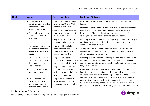| Unit | <b>Aims</b>                                                                                                                                      | Success criteria                                                                                                                                                          | <b>Unit End Outcomes</b>                                                                                                                                                                                                                                                                                                                 |
|------|--------------------------------------------------------------------------------------------------------------------------------------------------|---------------------------------------------------------------------------------------------------------------------------------------------------------------------------|------------------------------------------------------------------------------------------------------------------------------------------------------------------------------------------------------------------------------------------------------------------------------------------------------------------------------------------|
|      | • To learn how to find<br>saved work in the Online<br>Work area and find<br>teacher comments.<br>• To learn how to search<br>Purple Mash to find | • Pupils can find their saved<br>work in the Online Work<br>area of Purple Mash.<br>• Pupils can find messages<br>that their teacher has left<br>for them on Purple Mash. | Most pupils will be able to add their name to their picture in<br>lesson 1.<br>In lesson 2, most pupils will be able to explain that their teacher<br>was able to connect with them online to leave a message in<br>Purple Mash. They could contribute to the class discussion<br>relating this to other forms of digital communication. |
|      | resources.<br>• To become familiar with                                                                                                          | • Pupils can search Purple<br>Mash to find resources.                                                                                                                     | Most pupils will be able to give a simple explanation of the way to<br>word comments online when given the example of their teacher<br>commenting upon their work.                                                                                                                                                                       |
|      | the types of resources<br>available in the Topics<br>section.                                                                                    | · Pupils will be able to use<br>the different types of topic<br>templates in the Topics<br>section confidently.                                                           | Throughout this unit most pupils will be able to contribute their<br>ideas about communicating appropriately and relate online and<br>off-line appropriate behaviour.                                                                                                                                                                    |
|      | • To become more familiar<br>with the icons used in<br>the resources in the<br>Topics section.                                                   | • Pupils will be confident<br>with the functionality of the<br>icons in the topic templates.<br>. Pupils will know how to                                                 | Most pupils will be able to open Purple Mash and use the search<br>bar within Purple Mash to find resources (lesson 2). They can<br>suggest appropriate words to search with to find the results that<br>they are looking for.                                                                                                           |
|      | • To start to add pictures<br>and text to work.                                                                                                  | use the different icons and<br>writing cues to add pictures<br>and text to their work.                                                                                    | <b>Exceeding: Pupils demonstrate an understanding of the</b><br>importance of online safety using their own private usernames<br>and passwords for Purple Mash. Pupils understand the                                                                                                                                                    |
|      | • To explore the Tools<br>section of Purple Mash<br>and to learn about the<br>common icons used in                                               | • Pupils have explored the<br>Tools section on Purple<br>Mash and become familiar                                                                                         | importance of keeping information, such as their usernames and<br>passwords private and actively demonstrate this in lessons.<br>Pupils take ownership of their work and save this in their own<br>private space. Pupils demonstrating greater depth understand the                                                                      |

#### **Need more support? Contact us:**

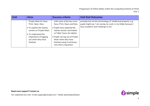| Unit | <b>Aims</b>                                                                                                                                                                        | Success criteria                                                                                                                                                                                                                                                    | <b>Unit End Outcomes</b>                                                                                                                                                      |
|------|------------------------------------------------------------------------------------------------------------------------------------------------------------------------------------|---------------------------------------------------------------------------------------------------------------------------------------------------------------------------------------------------------------------------------------------------------------------|-------------------------------------------------------------------------------------------------------------------------------------------------------------------------------|
|      | Purple Mash for Save,<br>Print, Open, New.<br>• To explore the Games<br>section on Purple Mash.<br>• To understand the<br>importance of logging<br>out when they have<br>finished. | with some of the key icons:<br>Save, Print, Open and New.<br>• Pupils have explored the<br>Games section and looked<br>at Table Toons (2x tables).<br>• Pupils can log out of Purple<br>Mash when they have<br>finished using it and know<br>why that is important. | principle but not the terminology of 'intellectual property' e.g.,<br>pupils might say 'I am saving my work, in my folder because I<br>have created it and it belongs to me'. |

**Need more support? Contact us:**

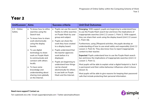<span id="page-6-0"></span>

| Unit\Lesson              | <b>Aims</b>                                                                                                                                                                                                                                                                                                                                                                  | <b>Success criteria</b>                                                                                                                                                                                                                                                                                                                                                                                                                               | <b>Unit End Outcomes</b>                                                                                                                                                                                                                                                                                                                                                                                                                                                                                                                                                                                                                                                                                                                                                                                                                                                                                                                                                                                          |
|--------------------------|------------------------------------------------------------------------------------------------------------------------------------------------------------------------------------------------------------------------------------------------------------------------------------------------------------------------------------------------------------------------------|-------------------------------------------------------------------------------------------------------------------------------------------------------------------------------------------------------------------------------------------------------------------------------------------------------------------------------------------------------------------------------------------------------------------------------------------------------|-------------------------------------------------------------------------------------------------------------------------------------------------------------------------------------------------------------------------------------------------------------------------------------------------------------------------------------------------------------------------------------------------------------------------------------------------------------------------------------------------------------------------------------------------------------------------------------------------------------------------------------------------------------------------------------------------------------------------------------------------------------------------------------------------------------------------------------------------------------------------------------------------------------------------------------------------------------------------------------------------------------------|
| $2.2 - Online$<br>Safety | • To know how to refine<br>searches using the<br>Search tool.<br>To know how to share<br>work electronically<br>using the display<br>boards.<br>• To use digital<br>technology to share<br>work on Purple Mash<br>to communicate and<br>connect with others<br>locally.<br>To have some<br>knowledge and<br>understanding about<br>sharing more globally<br>on the Internet. | Pupils can use the search<br>$\bullet$<br>facility to refine searches<br>on Purple Mash by year<br>group and subject.<br>Pupils can share the<br>$\bullet$<br>work they have created<br>to a display board.<br>Pupils understand that<br>the teacher approves<br>work before it is<br>displayed.<br>Pupils are beginning to<br>understand how things<br>can be shared<br>electronically for others<br>to see both on Purple<br>Mash and the Internet. | <b>Emerging:</b> With support, pupils are beginning to understand how<br>to use the Purple Mash search bar and know the implications of<br>inappropriate searches (Unit 2.2 Lesson 1. Point 1). With support,<br>they can share their work using the display board (Unit 2.2 Lesson<br>1. Point 16).<br>Furthermore, using 2Respond activities, the pupils develop an<br>understanding of how to use email safely and responsibly (Unit 2.2<br>Lesson 2. Point 4). They also know how to report inappropriate<br>content to their teacher.<br><b>Expected:</b> Pupils understand how to use the Purple Mash search<br>bar and know the implications of inappropriate searches (Unit 2.2)<br>Lesson 1. Point 1).<br>Most pupils will be able to explain what a digital footprint is, that it<br>is permanent and their online behaviour influences what it shows<br>(lesson 3).<br>Most pupils will be able to give reasons for keeping their password<br>safe that include protecting their personal information. |

#### **Need more support? Contact us:**

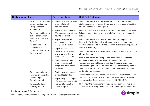| Unit\Lesson | <b>Aims</b>                                                                               | <b>Success criteria</b>                                                                                                               | <b>Unit End Outcomes</b>                                                                                                                                                                                                                                                                                                        |
|-------------|-------------------------------------------------------------------------------------------|---------------------------------------------------------------------------------------------------------------------------------------|---------------------------------------------------------------------------------------------------------------------------------------------------------------------------------------------------------------------------------------------------------------------------------------------------------------------------------|
|             | • To introduce Email as a<br>communication tool<br>using 2Respond                         | Pupils know that Email is<br>$\bullet$<br>a form of digital<br>communication.                                                         | Most pupils will be able to express the good and bad sides of<br>digital technology. In lesson 3, they can give examples of positive<br>effects on life as well as negative.                                                                                                                                                    |
|             | simulations.<br>• To understand how we<br>talk to others when                             | Pupils understand how<br>$\bullet$<br>2Repond can teach them<br>how to use email.                                                     | Pupils add their name to work but show a differentiation between<br>full name and first name only when information is to be shared<br>online.                                                                                                                                                                                   |
|             | they are not there in<br>front of us.<br>• To open and send                               | Pupils can open and<br>$\bullet$<br>send an email to a<br>2Respond character.                                                         | Most pupils will be able to share their work to a displayboard<br>(lesson 1). By sharing their work using the display board, pupils<br>begin to understand how things are shared electronically (Unit 2.2                                                                                                                       |
|             | simple online<br>communications in the<br>form of email.                                  | Pupils have discussed<br>$\bullet$<br>their own experiences<br>and understanding of                                                   | Lesson 1. Point 16).<br>Most pupils will be able to open and respond to simulated emails in<br>2Email (lesson 2)                                                                                                                                                                                                                |
|             |                                                                                           | what email is used for.<br>Pupils have discussed<br>$\bullet$<br>what makes us feel<br>happy and what makes<br>us feel sad.           | Most pupils will be able to open and send email responses to<br>simulated emails in 2Email (Unit 2.2 Lesson 2 Point 4).<br>Furthermore, using 2Respond activities the pupils develop an<br>understanding of how to use email safely and responsibly (Unit 2.2<br>Lesson 2. Point 4). They also know how to report inappropriate |
|             | • To understand that<br>information put online<br>leaves a digital<br>footprint or trail. | Pupils can explain what<br>$\bullet$<br>a digital footprint is.<br>Pupils can give examples<br>$\bullet$<br>of things that they would | content to their teacher.<br><b>Exceeding: Pupils understand how to use the Purple Mash search</b><br>bar (Unit 2.2 Lesson 1. Point 1) and for greater depth can refine<br>searches using Boolean search terms (AND, OR, NOT).                                                                                                  |
|             | • To begin to think<br>critically about the                                               | not want to be in their<br>digital footprint.                                                                                         | They know the implications of inappropriate searches. Pupils can<br>share their work using the display board and begin to understand                                                                                                                                                                                            |

#### **Need more support? Contact us:**

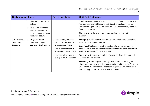| Unit\Lesson                                 | <b>Aims</b>                                                                                                                        | <b>Success criteria</b>                                                                                                                                                                                         | <b>Unit End Outcomes</b>                                                                                                                                                                                                                                                                                                                                                                                                                                                  |
|---------------------------------------------|------------------------------------------------------------------------------------------------------------------------------------|-----------------------------------------------------------------------------------------------------------------------------------------------------------------------------------------------------------------|---------------------------------------------------------------------------------------------------------------------------------------------------------------------------------------------------------------------------------------------------------------------------------------------------------------------------------------------------------------------------------------------------------------------------------------------------------------------------|
|                                             | information they leave<br>online.<br>• To identify the steps<br>that can be taken to<br>keep personal data and<br>hardware secure. |                                                                                                                                                                                                                 | how things are shared electronically (Unit 2.2 Lesson 1. Point 16).<br>Furthermore, using 2Respond activities, the pupils develop an<br>understanding of how to use email safely and responsibly (Unit 2.2<br>Lesson 2. Point 4).<br>They also know how to report inappropriate content to their<br>teacher.                                                                                                                                                              |
| $2.5$ – Effective<br>Searching,<br>Lesson 2 | • To gain a better<br>understanding of<br>searching the Internet.                                                                  | can identify the basic<br>$\bullet$<br>parts of a web search<br>engine search page.<br>I have learnt to read a<br>$\bullet$<br>web search results page.<br>can search for answers<br>to a quiz on the Internet. | Emerging: Pupils have an awareness that their Internet searches<br>form part of a 'digital footprint'.<br><b>Expected:</b> Pupils can relate the creation of a digital footprint to<br>their search history and make contributions to the class discussion<br>about this in relation to online safety.<br>Pupils know that many search engine companies collect and sell<br>information about users.<br><b>Exceeding: Pupils apply what they know about search engine</b> |
|                                             |                                                                                                                                    |                                                                                                                                                                                                                 | algorithms to their own online safety and digital footprint. They can<br>understand the implications of search engines selling information<br>and having paid ads at the top of search results.                                                                                                                                                                                                                                                                           |

**Need more support? Contact us:**

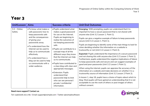<span id="page-9-0"></span>

| Unit\Lesson              | <b>Aims</b>                                                                                                                                                                                                                                                                                                                          | <b>Success criteria</b>                                                                                                                                                                                                                                                                                                                                                                                                                                                                                                                          | <b>Unit End Outcomes</b>                                                                                                                                                                                                                                                                                                                                                                                                                                                                                                                                                                                                                                                                                                                                                                                                                                                                                                                                                                                                                                                                                                                                                                                                                                         |
|--------------------------|--------------------------------------------------------------------------------------------------------------------------------------------------------------------------------------------------------------------------------------------------------------------------------------------------------------------------------------|--------------------------------------------------------------------------------------------------------------------------------------------------------------------------------------------------------------------------------------------------------------------------------------------------------------------------------------------------------------------------------------------------------------------------------------------------------------------------------------------------------------------------------------------------|------------------------------------------------------------------------------------------------------------------------------------------------------------------------------------------------------------------------------------------------------------------------------------------------------------------------------------------------------------------------------------------------------------------------------------------------------------------------------------------------------------------------------------------------------------------------------------------------------------------------------------------------------------------------------------------------------------------------------------------------------------------------------------------------------------------------------------------------------------------------------------------------------------------------------------------------------------------------------------------------------------------------------------------------------------------------------------------------------------------------------------------------------------------------------------------------------------------------------------------------------------------|
| $3.2 - Online$<br>Safety | • To know what makes a<br>safe password, how to<br>keep passwords safe<br>and the consequences<br>of giving your<br>passwords away.<br>• To understand how the<br>Internet can be used to<br>help us to communicate<br>effectively.<br>• To understand how a<br>blog can be used to help<br>us communicate with a<br>wider audience. | . Pupils understand what<br>makes a good password<br>for use on the Internet.<br>Pupils are beginning to<br>realise the outcomes of<br>not keeping passwords<br>safe.<br>. Pupils can contribute to a<br>concept map of all the<br>different ways they know<br>that the Internet can help<br>us to communicate.<br>. Pupils have contributed to<br>a class blog with clear and<br>appropriate messages.<br>· Extension: Pupils<br>understand that<br>passwords help to limit<br>who can see personal /<br>private / confidential<br>information. | <b>Emerging:</b> With prompting, pupils can understand that it is<br>important to have a secure password that is not shared with<br>anyone else (Unit 3.2 Lesson 1. Point 1).<br>Pupils can give a negative example of failure to keep passwords<br>secure (Unit 3.2 Lesson 1. Point 1).<br>Pupils are beginning to identify some of the main things to look for<br>when deciding whether the information on a website is<br>trustworthy or not (Unit 3.2 Lesson 2. Point 2).<br>Expected: Pupils understand the importance of a secure password<br>and not sharing this with anyone else (Unit 3.2 Lesson 1 Point 1).<br>Furthermore, pupils understand the negative implications of failure<br>to keep passwords safe and secure and can suggest examples of<br>good and poor passwords (Unit 3.2 Lesson 1 Point 1).<br>When using the internet, pupils can appraise the accuracy of the<br>information on a website and make decisions on whether it is a<br>trustworthy source of information (Unit 3.2 Lesson 2 Point 2).<br>In lesson 1, step 16, pupils have a choice of topics about which to<br>blog. Most pupils will have gained an understanding that it is not<br>acceptable to use the work of others or post images of others<br>without consent. |

#### **Need more support? Contact us:**

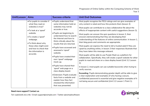| Unit\Lesson | <b>Aims</b>                                                                                     | <b>Success criteria</b>                                                                                                                      | <b>Unit End Outcomes</b>                                                                                                                                                                                                                                                    |
|-------------|-------------------------------------------------------------------------------------------------|----------------------------------------------------------------------------------------------------------------------------------------------|-----------------------------------------------------------------------------------------------------------------------------------------------------------------------------------------------------------------------------------------------------------------------------|
|             | • For pupils to consider if<br>what they read on<br>websites is true?<br>• To look at a 'spoof' | . Pupils understand that<br>some information held on<br>websites may not be<br>accurate or true.                                             | Most pupils recognise the PEGI ratings and can give examples of<br>why content is rated and how this protects them (lesson 3)<br>Most pupils can contribute to a class collaborative file about the<br>effects of inappropriate content with useful suggestions (lesson 3). |
|             | website.<br>• To create a 'spoof'<br>webpage.<br>• To think about why                           | • Pupils are beginning to<br>understand how to search<br>the Internet and how to<br>think critically about the<br>results that are returned. | Most pupils can answer the quiz questions in lesson 3, their<br>answers demonstrating that they are developing their<br>understanding of the features of online communication. In lesson 1,<br>their blog posts and comments are appropriate.                               |
|             | these sites might exist<br>and how to check that<br>the information is                          | · Pupils have accessed and<br>assessed a 'spoof'<br>website.                                                                                 | Most pupils can express the need to tell a trusted adult if they are<br>upset by anything online, in lesson 3 their responses illustrate that<br>they have taken this message onboard.                                                                                      |
|             | accurate.                                                                                       | . Pupils have created their<br>own 'spoof' webpage<br>mock-up.                                                                               | Most pupils will be able to use Purple Mash as a platform for<br>collaboration. Specifically, they will create a spoof website for other<br>pupils to read and share on a class display board (Unit 3.2 Lesson<br>$2$ ).                                                    |
|             |                                                                                                 | . Pupils have shared their<br>'spoof' web page on a<br>class display board.                                                                  | In lesson 2, most pupils can use suitable keywords when trying to<br>verify sources.                                                                                                                                                                                        |
|             |                                                                                                 | · Extension: Pupils evaluate<br>facts from a website and<br>explain how they fact<br>checked the information<br>that was presented.          | Exceeding: Pupils demonstrating greater depth will be able to give<br>a clear explanation and examples of why having a secure,<br>confidential password is essential and give negative examples of it<br>not being secure and confidential (Unit 3.2 Lesson 1 Point 1).     |

#### **Need more support? Contact us:**

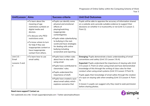| Unit\Lesson                               | <b>Aims</b>                                                                                                                                                                                                                                                                     | <b>Success criteria</b>                                                                                                                                                                                                                                                                           | <b>Unit End Outcomes</b>                                                                                                                                                                                                                                                                                                                                                                                                                                                                                                                                                                                                                     |
|-------------------------------------------|---------------------------------------------------------------------------------------------------------------------------------------------------------------------------------------------------------------------------------------------------------------------------------|---------------------------------------------------------------------------------------------------------------------------------------------------------------------------------------------------------------------------------------------------------------------------------------------------|----------------------------------------------------------------------------------------------------------------------------------------------------------------------------------------------------------------------------------------------------------------------------------------------------------------------------------------------------------------------------------------------------------------------------------------------------------------------------------------------------------------------------------------------------------------------------------------------------------------------------------------------|
|                                           | • To learn about the<br>meaning of age<br>restrictions symbols on<br>digital media and<br>devices.<br>. To discuss why PEGI<br>restrictions exist.<br>• To know where to turn<br>for help if they see<br>inappropriate content or<br>have inappropriate<br>contact from others. | . Pupils can identify some<br>physical and emotional<br>effects of<br>playing/watching<br>inappropriate<br>content/games.<br>· Pupils relate cyberbullying<br>to bullying in the real-<br>world and have strategies<br>for dealing with online<br>bullying including<br>screenshot and reporting. | Pupils will be able to appraise the accuracy of information shared<br>on a website and a provide suitable evidence to support their<br>decisions on whether it is trustworthy or not (Unit 3.2 Lesson 2.<br>Point 2).                                                                                                                                                                                                                                                                                                                                                                                                                        |
| Unit 3.5 -<br>Email<br>Lessons 3 and<br>4 | • To learn how to use<br>email safely.                                                                                                                                                                                                                                          | · Pupils have written rules<br>about how to stay safe<br>using email.<br>. Pupils have contributed to<br>classmates' rules.<br>. Pupils understand the<br>importance of draft.<br>· Pupils have created a quiz<br>about email safety which<br>explores scenarios that                             | Emerging: Pupils demonstrate a basic understanding of email<br>conventions and safety (Unit 3.5 Lesson 3 & 4).<br><b>Expected:</b> Pupils understand the importance of staying safe (Unit<br>3.5 Lesson 3. Point 2) when using email and have demonstrated<br>knowledge of this through the writing of class rules for their<br>conduct when using email systems (Unit 3.5 Lesson 3 Point 5).<br>Pupils apply their knowledge of email safety through the creation<br>of a quiz on staying safe when emailing (Unit 3.5 Lesson 4. Point<br>3).<br>In lesson 3, pupils can suggest why they need to seek permission<br>before sharing photos. |

#### **Need more support? Contact us:**

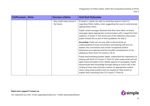| Unit\Lesson | <b>Aims</b> | <b>Success criteria</b>                  | <b>Unit End Outcomes</b>                                                                                                                                                                                                                                                                                                                                                                                                                                                   |
|-------------|-------------|------------------------------------------|----------------------------------------------------------------------------------------------------------------------------------------------------------------------------------------------------------------------------------------------------------------------------------------------------------------------------------------------------------------------------------------------------------------------------------------------------------------------------|
|             |             | they could come across in<br>the future. | In lesson 1, pupils can refer to what they learnt in Unit 3.2<br>regarding Online Safety when suggesting the way to communicate<br>appropriately online.                                                                                                                                                                                                                                                                                                                   |
|             |             |                                          | Pupils' email messages illustrate that they have taken on board<br>messages about appropriate communication with a regard for their<br>audience. In lesson 3, this forms part of the slideshow discussion.,<br>pupils include this as part of their guidelines for step 5.                                                                                                                                                                                                 |
|             |             |                                          | Exceeding: Pupils are not only able to demonstrate an<br>understanding of email conventions and keeping safe but can<br>explain why conventions and certain recognised positive<br>behaviours are expected and the possible consequences of not<br>abiding by them (Unit 3.5 Lessons 3 & 4).                                                                                                                                                                               |
|             |             |                                          | Pupils demonstrating greater depth, understand the importance of<br>staying safe (Unit 3.5 Lesson 3. Point 2) when using email and can<br>apply these principles to the related aspects of messaging. Pupils<br>demonstrate their knowledge through taking an active role in the<br>writing of class rules and quiz creation on appropriate conduct<br>when using email systems and can expand on their points to<br>explain their reasoning (Unit 3.5 Lesson 3. Point 5). |

#### **Need more support? Contact us:**

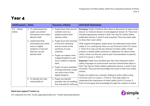<span id="page-13-0"></span>

| Unit\Lesson                                                                                                                                                         | <b>Aims</b>                                                                                       | <b>Success criteria</b>                                                                                                                                                                                                                                               | <b>Unit End Outcomes</b>                                                                                                                                                                                                                                                                                                                                                                                                                                                                                                                                                                                                                                                                                         |
|---------------------------------------------------------------------------------------------------------------------------------------------------------------------|---------------------------------------------------------------------------------------------------|-----------------------------------------------------------------------------------------------------------------------------------------------------------------------------------------------------------------------------------------------------------------------|------------------------------------------------------------------------------------------------------------------------------------------------------------------------------------------------------------------------------------------------------------------------------------------------------------------------------------------------------------------------------------------------------------------------------------------------------------------------------------------------------------------------------------------------------------------------------------------------------------------------------------------------------------------------------------------------------------------|
| $4.2 - Online$<br>Safety<br>pupils can protect<br>identity theft.<br>Understand that<br>leaves a digital<br>that this can aid<br>identity theft.<br>and benefits of | • To understand how<br>themselves from online<br>information put online<br>footprint or trail and | • Pupils know that security<br>symbols such as a<br>padlock protect their<br>identity online.<br>Pupils know the meaning<br>of the term 'phishing'<br>and are aware of the<br>existence of scam<br>websites.<br>Pupils can explain what<br>a digital footprint is and | <b>Emerging:</b> Pupils contribute their ideas to discussion of spam email<br>(lesson 1), malware (lesson 2) and plagiarism (lesson 3). They have<br>included appropriate content in their Top Tips for Online Safety<br>publication (lesson 2, point 5 and onwards). They have been able<br>to share their work online.<br>With support throughout, pupils show an understand what online<br>safety is. In a small group, they can use 2Connect (Unit 4.2 Lesson<br>1. Point 3) to map out the key features of online safety. Pupils<br>produce a simple leaflet, postcard, or slideshow etc about online<br>safety, which can then be used as part of presentation to parents<br>(Unit 4.2 Lesson 1. Point 7). |
|                                                                                                                                                                     | • To Identify the risks                                                                           | how it relates to identity<br>theft.<br>Pupils can give examples<br>of things that they would<br>not want to be in their<br>digital footprint.<br>• Pupils can identify<br>possible risks of installing<br>free and paid for software.                                | <b>Expected:</b> Pupils have decided upon the most important online<br>safety messages to communicate and have shared these ideas in<br>their Top Tips for Online Safety publication (lesson 2, point 5 and<br>onwards). They put this knowledge into action in their own online<br>activity.<br>Pupils can explore key concepts relating to online safety using<br>2Connect Unit 4.2 Lesson 1. Point 3). They help others to<br>understand the importance of online safety (Unit 4.2 Lesson 2.<br>Point 3) and apply their knowledge through the creation of online                                                                                                                                             |

#### **Need more support? Contact us:**

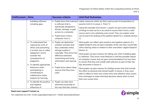| Unit\Lesson | <b>Aims</b>                                                                                                                                                                                                                                                                                                        | <b>Success criteria</b>                                                                                                                                                                                                                                                         | <b>Unit End Outcomes</b>                                                                                                                                                                                                                                                                                                                                                                                                                                                                                                                                                                                                                                                                                                                                                                                                                                   |
|-------------|--------------------------------------------------------------------------------------------------------------------------------------------------------------------------------------------------------------------------------------------------------------------------------------------------------------------|---------------------------------------------------------------------------------------------------------------------------------------------------------------------------------------------------------------------------------------------------------------------------------|------------------------------------------------------------------------------------------------------------------------------------------------------------------------------------------------------------------------------------------------------------------------------------------------------------------------------------------------------------------------------------------------------------------------------------------------------------------------------------------------------------------------------------------------------------------------------------------------------------------------------------------------------------------------------------------------------------------------------------------------------------------------------------------------------------------------------------------------------------|
|             | installing software<br>including apps.                                                                                                                                                                                                                                                                             | • Pupils know that malware<br>is software that is<br>specifically designed to<br>disrupt, damage, or gain<br>access to a computer.<br>Pupils know what a<br>$\bullet$<br>computer virus is.                                                                                     | safety resources which are then used as part of presentation to<br>parents (Unit 4.2 Lesson 1. Point 7).<br>Using the example from lesson 1, pupils can give some examples<br>of things to look out for in an email to ensure that it from a valid<br>source and is not a phishing scam email. They can explain what<br>can be learnt by looking at the padlock details for a website (lesson<br>1)                                                                                                                                                                                                                                                                                                                                                                                                                                                        |
|             | • To understand that<br>copying the work of<br>others and presenting<br>it as their own is called<br>'plagiarism' and to<br>consider the<br>consequences of<br>plagiarism.<br>• To identify appropriate<br>behaviour when<br>participating or<br>contributing to<br>collaborative online<br>projects for learning. | • Pupils can determine<br>whether activities that<br>they undertake online,<br>infringe another's'<br>copyright. They know the<br>difference between<br>researching and using<br>information and copying<br>it<br>• Pupils know about citing<br>sources that they have<br>used. | Most pupils can reflect upon positive and negative aspects of a<br>digital footprint and can give examples of the care they would take<br>when sharing online in relation to their and others' digital footprint<br>(lesson 1).<br>Most pupils can give reasons for taking care when installing apps<br>or software. They know what Malware is and the possible impact<br>of computer viruses and can give recommendations for how best<br>to ensure that they only install valid software as part of their top<br>tips document in lesson 2.<br>Most pupils can give reasons for limiting screen time that include<br>the effect on physical and mental health. In lesson 4, they were<br>able to reflect on their own screen time and collective class screen<br>time and begin to make informed decisions about when to limit<br>their own screen time. |
|             | • To identify the positive<br>and negative<br>influences of                                                                                                                                                                                                                                                        | • Pupils can take more<br>informed ownership of<br>the way that they choose                                                                                                                                                                                                     |                                                                                                                                                                                                                                                                                                                                                                                                                                                                                                                                                                                                                                                                                                                                                                                                                                                            |

#### **Need more support? Contact us:**

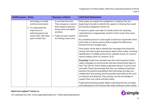| Unit\Lesson | <b>Aims</b>                                                                                                                                                 | <b>Success criteria</b>                                                                                                                                                                       | <b>Unit End Outcomes</b>                                                                                                                                                                                                                                                                                                                                                                                                                                                                                                                                                                                                                                                                                                                                                                                                                                                                                                                                                                                                                                                                                                                                                                                                                                                                                                                                                                                                                             |
|-------------|-------------------------------------------------------------------------------------------------------------------------------------------------------------|-----------------------------------------------------------------------------------------------------------------------------------------------------------------------------------------------|------------------------------------------------------------------------------------------------------------------------------------------------------------------------------------------------------------------------------------------------------------------------------------------------------------------------------------------------------------------------------------------------------------------------------------------------------------------------------------------------------------------------------------------------------------------------------------------------------------------------------------------------------------------------------------------------------------------------------------------------------------------------------------------------------------------------------------------------------------------------------------------------------------------------------------------------------------------------------------------------------------------------------------------------------------------------------------------------------------------------------------------------------------------------------------------------------------------------------------------------------------------------------------------------------------------------------------------------------------------------------------------------------------------------------------------------------|
|             | technology on health<br>and the environment.<br>To understand the<br>importance of<br>balancing game and<br>screen time with other<br>parts of their lives. | to use their free time.<br>They recognise a need to<br>find a balance between<br>being active and digital<br>activities.<br>Pupils can give reasons<br>$\bullet$<br>for limiting screen time. | Most pupils can explain how plagiarism is stealing, they are<br>beginning to be able to identify the aspects of sharing that would<br>be classed as plagiarism (lesson 3)<br>In lesson 4, pupils were able to include actions for reporting<br>cyberbullying or inappropriate content in their screen time study<br>document.<br>By completing lesson 4, most pupils would have saved both online<br>and locally to a device and are able to explain the differences<br>between the two storage types.<br>Most pupils will be able to identify key messages that should be<br>shared with other pupils and parents about online safety, including<br>identification of reliable content from websites found via common<br>search engines (Unit 4.2 Lessons 1 & 2).<br><b>Exceeding:</b> Pupils have decided upon the most important online<br>safety messages to communicate and have shared these ideas in<br>their Top Tips for Online Safety publication (lesson 2, point 5 and<br>onwards). Pupils demonstrate that they are making connections<br>between the positive possibilities that technology provides e.g.<br>collaboration and sharing and the possible downsides of this such<br>as malware and phishing. They actively use this knowledge to<br>support their own online activities safely.<br>Pupils demonstrating greater depth understand the key concepts<br>and implications of the choices they make relating to online safety |

#### **Need more support? Contact us:**

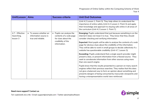| Unit\Lesson                               | <b>Aims</b>                                                           | <b>Success criteria</b>                                                                                         | <b>Unit End Outcomes</b>                                                                                                                                                                                                                                                                                                                                                                                                                                                              |
|-------------------------------------------|-----------------------------------------------------------------------|-----------------------------------------------------------------------------------------------------------------|---------------------------------------------------------------------------------------------------------------------------------------------------------------------------------------------------------------------------------------------------------------------------------------------------------------------------------------------------------------------------------------------------------------------------------------------------------------------------------------|
|                                           |                                                                       |                                                                                                                 | (Unit 4.2 Lesson 1. Point 3). They help others to understand the<br>importance of online safety (Unit 4.2 Lesson 2. Point 3) and apply<br>their knowledge and approach to staying safe online in all areas of<br>the curriculum (Unit 4.2 Lesson 1. Point 7).                                                                                                                                                                                                                         |
| 4.7 - Effective<br>Searching,<br>lesson 3 | • To assess whether an<br>information source is<br>true and reliable. | • Pupils can analyse the<br>contents of a web page<br>for clues about the<br>credibility of the<br>information. | <b>Emerging:</b> Pupils understand that just because something is on the<br>internet it does not mean it is true. They know that they should<br>consider checking and verifying information.<br><b>Expected:</b> Most pupils will be able to analyse the contents of a web<br>page for obvious clues about the credibility of the information.<br>They will be able to work in small groups to decide collectively if a<br>website has questionable credibility (Unit 4.7, Lesson 3). |
|                                           |                                                                       |                                                                                                                 | <b>Exceeding:</b> Pupils understand that a single search provider might<br>present a bias, or present information from a flawed source. They<br>seek to corroborate information from other sources using more<br>than one search engine.                                                                                                                                                                                                                                              |
|                                           |                                                                       |                                                                                                                 | Pupils know that the results presented to a person on many search<br>engines reflect their previous searches. They realise that this does<br>not give a balanced way to form an opinion about something and<br>presents dangers of being consumed by inaccurate viewpoints and<br>having a misrepresentative world view reinforced.                                                                                                                                                   |

#### **Need more support? Contact us:**

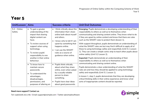<span id="page-17-0"></span>

| Unit\Lesson              | <b>Aims</b>                                                                                                                                                                                                                                                | Success criteria                                                                                                                                                                                                                                                                                                                                                                                                                                                                            | <b>Unit End Outcomes</b>                                                                                                                                                                                                                                                                                                                                                                                                                                                                                                                                                                                                                                                                                                                                                  |
|--------------------------|------------------------------------------------------------------------------------------------------------------------------------------------------------------------------------------------------------------------------------------------------------|---------------------------------------------------------------------------------------------------------------------------------------------------------------------------------------------------------------------------------------------------------------------------------------------------------------------------------------------------------------------------------------------------------------------------------------------------------------------------------------------|---------------------------------------------------------------------------------------------------------------------------------------------------------------------------------------------------------------------------------------------------------------------------------------------------------------------------------------------------------------------------------------------------------------------------------------------------------------------------------------------------------------------------------------------------------------------------------------------------------------------------------------------------------------------------------------------------------------------------------------------------------------------------|
| $5.2 - Online$<br>Safety | • To gain a greater<br>understanding of the<br>impact that sharing<br>digital content can<br>have.<br>• To review sources of<br>support when using<br>technology.<br>• To review pupils'<br>responsibility to one<br>another in their online<br>behaviour. | I think critically about the<br>$\bullet$<br>information that I share<br>online both about myself<br>and others.<br>I know who to tell if I am<br>upset by something that<br>happens online.<br>I can use the SMART<br>rules as a source of<br>guidance when online.<br>Pupils think critically<br>$\bullet$<br>about what they share<br>online, even when asked<br>by a usually reliable<br>person to share<br>something.<br>Pupils have clear ideas<br>$\bullet$<br>about good passwords. | Emerging: Pupils demonstrate a developing understanding of their<br>responsibility to others as well as to themselves when<br>communicating and sharing content online. They know what to do<br>if they are upset by online content and know that there are rules<br>such as the SMART rules to protect them (lesson 1).<br>With support throughout, pupils demonstrate an understanding of<br>what the SMART rules are but may find it difficult to apply all of<br>these to using technology safely and respectfully (Unit 5.1 Lesson<br>1). They can create a simple comic strip to teach other pupils about<br>online safety (Unit 5.2 Lesson 2).<br>Expected: Pupils demonstrate an understanding of their<br>responsibility to others as well as to themselves when |
|                          | • To know how to<br>maintain secure<br>passwords.<br>• To understand the<br>advantages,<br>disadvantages,<br>permissions, and<br>purposes of altering an                                                                                                   |                                                                                                                                                                                                                                                                                                                                                                                                                                                                                             | communicating and sharing content online.<br>Pupils demonstrate a clear understanding of what the SMART<br>rules are and how they should be applied to using technology<br>safely and respectfully (Unit 5.1 Lesson 1).<br>In lesson 1, step 2, pupils demonstrate that they are developing<br>critical thinking skills in their online experience and know what<br>sorts of inappropriate content should be reported.                                                                                                                                                                                                                                                                                                                                                    |

#### **Need more support? Contact us:**

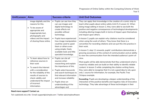| Unit\Lesson | <b>Aims</b>                                                                                                                                                                                                             | <b>Success criteria</b>                                                                                                                                                                                                          | <b>Unit End Outcomes</b>                                                                                                                                                                                                                                                                                                                                                                                                                                                                                                       |
|-------------|-------------------------------------------------------------------------------------------------------------------------------------------------------------------------------------------------------------------------|----------------------------------------------------------------------------------------------------------------------------------------------------------------------------------------------------------------------------------|--------------------------------------------------------------------------------------------------------------------------------------------------------------------------------------------------------------------------------------------------------------------------------------------------------------------------------------------------------------------------------------------------------------------------------------------------------------------------------------------------------------------------------|
|             | image digitally and the<br>reasons for this.<br>• To be aware of<br>appropriate and<br>inappropriate text,<br>photographs and                                                                                           | • Pupils can see how they<br>can use images and<br>digital technology to<br>create effects not<br>possible without<br>and impact upon others.<br>technology.                                                                     | They can apply their knowledge in the creation of a comic strip to<br>teach other pupils about online safety (Unit 5.2 Lesson 2). When<br>doing image editing in lesson 2, they were able to see both the<br>positive and negative consequences of technological developments<br>including altering images both in terms of impact upon themselves                                                                                                                                                                             |
|             | videos and the impact<br>of sharing these online.                                                                                                                                                                       | • Pupils have experienced<br>how image manipulation<br>could be used to upset<br>them or others even<br>using simple, freely<br>available tools and little<br>specialist knowledge.                                              | In lesson 3, pupils can explain why citations must be considered<br>when using the work of others. They know that there is a<br>convention for recording citations and can put this into practice in<br>their work.<br>In lesson 3, step 11 onwards, pupils' contributions demonstrate a<br>growing awareness of the context of communication and an ability<br>to view the communication from the intended audience's point-of-                                                                                               |
|             | • To learn about how to<br>reference sources in<br>their work<br>• To search the Internet<br>with a consideration<br>for the reliability of the<br>results of sources to<br>check validity and<br>understand the impact | • Pupils can cite all<br>sources when<br>researching and explain<br>the importance of this.<br>• Pupils select keywords<br>and search techniques to<br>find relevant information<br>and increase reliability<br>• Pupils show an | view.<br>Most pupils will be able demonstrate that they understand what is<br>meant by reliable and can build on their ability to identify reliable<br>content. In lesson 3 while completing the citation writing frame,<br>they were able to recognise that it is not a good idea to rely upon<br>only 1 source for information, for example, the Pacific Tree<br>Octopus example.<br>Exceeding: Pupils are developing a deeper understanding of the<br>interaction of the positive benefits and negative risks of innovative |
|             | of incorrect<br>information.                                                                                                                                                                                            | understanding of the<br>advantages and                                                                                                                                                                                           | technology. They take advantage of these technologies in their                                                                                                                                                                                                                                                                                                                                                                                                                                                                 |

**Need more support? Contact us:**

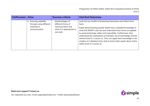| Unit\Lesson | <b>Aims</b>                                                                           | <b>Success criteria</b>                                                                               | <b>Unit End Outcomes</b>                                                                                                                                                                                                                                                                                                                                                                                                                                                                                                         |
|-------------|---------------------------------------------------------------------------------------|-------------------------------------------------------------------------------------------------------|----------------------------------------------------------------------------------------------------------------------------------------------------------------------------------------------------------------------------------------------------------------------------------------------------------------------------------------------------------------------------------------------------------------------------------------------------------------------------------------------------------------------------------|
|             | <b>Ensuring reliability</b><br>through using different<br>methods of<br>communication | disadvantages of<br>different forms of<br>communication and<br>when it is appropriate to<br>use each. | work but are mindful of protecting themselves and others from<br>harm.<br>Pupils demonstrating greater depth have a detailed knowledge of<br>what the SMART rules are and understand how these are applied<br>to using technology safely and respectfully. Furthermore, they<br>understand the implications of improper use of technology and the<br>internet (Unit 5.1 Lesson 1). They can apply their knowledge in the<br>creation of a detailed comic strip to teach other pupils about online<br>safety (Unit 5.2 Lesson 2). |

**Need more support? Contact us:**

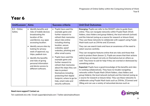<span id="page-20-0"></span>

| Unit\Lesson              | <b>Aims</b>                                                                                                                                                                                                                                                                                                                                                                 | Success criteria                                                                                                                                                                                                                                                                                                                                                                                                                                                                                                        | <b>Unit End Outcomes</b>                                                                                                                                                                                                                                                                                                                                                                                                                                                                                                                                                                                                                                                                                                                                                                                                                                                                                                                                                                                                                                                                                                                                                                                                                                                                           |
|--------------------------|-----------------------------------------------------------------------------------------------------------------------------------------------------------------------------------------------------------------------------------------------------------------------------------------------------------------------------------------------------------------------------|-------------------------------------------------------------------------------------------------------------------------------------------------------------------------------------------------------------------------------------------------------------------------------------------------------------------------------------------------------------------------------------------------------------------------------------------------------------------------------------------------------------------------|----------------------------------------------------------------------------------------------------------------------------------------------------------------------------------------------------------------------------------------------------------------------------------------------------------------------------------------------------------------------------------------------------------------------------------------------------------------------------------------------------------------------------------------------------------------------------------------------------------------------------------------------------------------------------------------------------------------------------------------------------------------------------------------------------------------------------------------------------------------------------------------------------------------------------------------------------------------------------------------------------------------------------------------------------------------------------------------------------------------------------------------------------------------------------------------------------------------------------------------------------------------------------------------------------|
| $6.2 - Online$<br>Safety | • Identify benefits and<br>risks of mobile devices<br>broadcasting the<br>location of the<br>user/device, e.g. apps<br>accessing location.<br>• Identify secure sites by<br>looking for privacy<br>seals of approval, e.g.<br>https, padlock icon.<br>• Identify the benefits<br>and risks of giving<br>personal information<br>and device access to<br>different software. | • Pupils have used the<br>example game and<br>further research to<br>refresh their memories<br>about risks online<br>including sharing<br>location, secure<br>websites, spoof<br>websites, phishing and<br>other email scams.<br>Pupils have used the<br>$\bullet$<br>example game and<br>further research to<br>refresh their memories<br>about the steps they can<br>take to protect<br>themselves including<br>protecting their digital<br>footprint, where to go for<br>help, smart rules and<br>security software. | <b>Emerging: Pupils can refer to the SMART rules to guide them</b><br>online. They can navigate networks within Purple Mash (Work<br>folders, class folders and group folders), the local network (school)<br>and the Internet (using as a source for research or leisure time).<br>They use these networks to collaborate with support using Purple<br>Mash tools such as 2Write and 2Connect.<br>They can use search tools and have an awareness of the need to<br>select sources carefully.<br>They can recognise features online that are risks and those that<br>exist to protect them (lesson 1). Pupils are aware that their actions<br>online have an impact not only on themselves but on others as<br>well. They know to ask for help if they are worried or distressed by<br>something online.<br><b>Expected:</b> Pupils have a good knowledge of the benefits and risks<br>to working collaboratively. They have no trouble navigating<br>networks within Purple Mash (Work folders, class folders and<br>group folders), the local network (school) and the Internet (using as<br>a source for research or leisure time). They use these networks to<br>collaborate using Purple Mash tools such as 2Write, 2Connect and<br>2Blog and can use a variety of networked devices such as |

#### **Need more support? Contact us:**

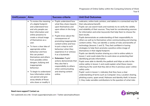| Unit\Lesson | <b>Aims</b>                                                                                                                                                                                                                                                                                                                                                                                                                                                                                                                                  | <b>Success criteria</b>                                                                                                                                                                                                                                                                                                                                                                                                                                                       | <b>Unit End Outcomes</b>                                                                                                                                                                                                                                                                                                                                                                                                                                                                                                                                                                                                                                                                                                                                                                                                                                                                                                                                                                                                                                                                                                                                                                                                                                                                                                                                                                                          |
|-------------|----------------------------------------------------------------------------------------------------------------------------------------------------------------------------------------------------------------------------------------------------------------------------------------------------------------------------------------------------------------------------------------------------------------------------------------------------------------------------------------------------------------------------------------------|-------------------------------------------------------------------------------------------------------------------------------------------------------------------------------------------------------------------------------------------------------------------------------------------------------------------------------------------------------------------------------------------------------------------------------------------------------------------------------|-------------------------------------------------------------------------------------------------------------------------------------------------------------------------------------------------------------------------------------------------------------------------------------------------------------------------------------------------------------------------------------------------------------------------------------------------------------------------------------------------------------------------------------------------------------------------------------------------------------------------------------------------------------------------------------------------------------------------------------------------------------------------------------------------------------------------------------------------------------------------------------------------------------------------------------------------------------------------------------------------------------------------------------------------------------------------------------------------------------------------------------------------------------------------------------------------------------------------------------------------------------------------------------------------------------------------------------------------------------------------------------------------------------------|
|             | • To review the meaning<br>of a digital footprint<br>and understand how<br>and why people use<br>their information and<br>online presence to<br>create a virtual image<br>of themselves as a<br>user.<br>• To have a clear idea of<br>appropriate online<br>behaviour and how<br>this can protect<br>themselves and others<br>from possible online<br>dangers, bullying and<br>inappropriate<br>behaviour.<br>• To begin to understand<br>how information online<br>can persist and give<br>away details of those<br>who share or modify it. | • Pupils understand how<br>what they share impacts<br>upon themselves and<br>upon others in the long-<br>term.<br>Pupils know about the<br>consequences of<br>promoting inappropriate<br>content online and how<br>to put a stop to such<br>behaviour when they<br>experience it or witness<br>it as a bystander.<br>• Extension: Pupils'<br>actions demonstrate that<br>they also feel a<br>responsibility to others<br>when communicating<br>and sharing content<br>online. | webcams, online tools, printers, and tablets in a connected way for<br>their educational benefit.<br>Pupils can use search tools and routinely try to verify the validity<br>and reliability of their sources. They look for corroborating sources<br>for information and enter keywords that help them to choose the<br>best results.<br>Pupils demonstrate an understanding of their responsibility to<br>others as well as to themselves when communicating and sharing<br>content online. They can identify a variety of risks and benefits of<br>technology (lessons 1 and 3). They feel confident in having<br>strategies to help them promote a positive online image of<br>themselves in their digital footprint.<br>Pupils can identify location sharing as a risk to online safety in<br>lesson 1 and could relate this to work done on protecting their<br>identifying private information.<br>Pupils were able to identify the padlock and https as aids to the<br>online safety in lesson 1 and could explain what these means<br>referring to the work that they did on this in previous years' online<br>safety units.<br>Pupils' work in lesson 1, indicates that they have a clear<br>understanding of terms such as Computer virus, Location sharing,<br>phishing scams, spam email, Malware and Identity theft. In lesson<br>2, they make sensible contributions to the question of what risks |

#### **Need more support? Contact us:**

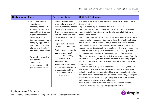| Unit\Lesson | <b>Aims</b>                                                                                                                                                                                                                                                                                                                                                                                                       | <b>Success criteria</b>                                                                                                                                                                                                                                                                                                                                                                                                                                                                                                                                                        | <b>Unit End Outcomes</b>                                                                                                                                                                                                                                                                                                                                                                                                                                                                                                                                                                                                                                                                                                                                                                                                                                                                                                                                                                                                                                                                                                                                                                                                                                                                                                                                                                                                                                                                                                                                                             |
|-------------|-------------------------------------------------------------------------------------------------------------------------------------------------------------------------------------------------------------------------------------------------------------------------------------------------------------------------------------------------------------------------------------------------------------------|--------------------------------------------------------------------------------------------------------------------------------------------------------------------------------------------------------------------------------------------------------------------------------------------------------------------------------------------------------------------------------------------------------------------------------------------------------------------------------------------------------------------------------------------------------------------------------|--------------------------------------------------------------------------------------------------------------------------------------------------------------------------------------------------------------------------------------------------------------------------------------------------------------------------------------------------------------------------------------------------------------------------------------------------------------------------------------------------------------------------------------------------------------------------------------------------------------------------------------------------------------------------------------------------------------------------------------------------------------------------------------------------------------------------------------------------------------------------------------------------------------------------------------------------------------------------------------------------------------------------------------------------------------------------------------------------------------------------------------------------------------------------------------------------------------------------------------------------------------------------------------------------------------------------------------------------------------------------------------------------------------------------------------------------------------------------------------------------------------------------------------------------------------------------------------|
|             | • To understand the<br>importance of<br>balancing game and<br>screen time with other<br>parts of their lives, e.g.<br>explore the reasons<br>why they may be<br>tempted to spend more<br>time playing games or<br>find it difficult to stop<br>playing and the effect<br>this has on their health.<br>• To identify the positive<br>and negative<br>influences of<br>technology on health<br>and the environment. | Pupils can take more<br>$\bullet$<br>informed ownership of<br>the way that they choose<br>to use their free time.<br>They recognise a need to<br>find a balance between<br>being active and digital<br>activities.<br>Pupils can give reasons<br>$\bullet$<br>for limiting screen time.<br>Pupils can talk about the<br>$\bullet$<br>positives and negative<br>aspects of technology<br>and balance these<br>opposing views.<br><b>Extension: Pupils have</b><br>$\bullet$<br>an internalised in-depth<br>understanding of the<br>risks and benefits of an<br>online presence. | there are when installing an App and the possible risks hidden in<br>the small print.<br>Pupils' work as digital footprint detectives in lesson 2<br>demonstrates that they understand the impact of a positive and<br>negative digital footprint and how to take control of their own<br>online virtual image.<br>Most pupils can balance the positive impact of technology with the<br>reasons for limiting screen time that include the effect on physical<br>and mental health. In lesson 3, they were able to reflect on their<br>own screen time and collective class screen time and begin to<br>make informed decisions about when to limit their own screen time<br>Having studied this aspect in depth in year 5 (lesson 3), pupils<br>routinely include citations in their research work across subjects.<br>They also take care to credit the artist when using images from the<br>Internet. In lesson 2, as part of the discussion surrounding digital<br>footprints, pupils explored the existence of metadata to track the<br>source of images.<br>Having studied this aspect in depth in year 5 (lesson 2, step 11+<br>and lesson 3, step 6+), pupils take care to credit the artist when<br>using images from the Internet and know how to explore the rights<br>and permissions associated with an image online. They can explain<br>the difference between copyright and privacy and are mindful of<br>both aspects when working with images.<br>Most pupils can make informed choices when communicating<br>online for example selecting the appropriate form of |

#### **Need more support? Contact us:**

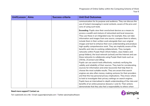| Unit\Lesson | <b>Aims</b> | <b>Success criteria</b> | <b>Unit End Outcomes</b>                                                                                                                                                                                                                                                                                                                                                                                                                                                                                                                                                                                                                                                                                                                                                                                                                                                                                                                                                                                                                                                                                                                                                                                           |
|-------------|-------------|-------------------------|--------------------------------------------------------------------------------------------------------------------------------------------------------------------------------------------------------------------------------------------------------------------------------------------------------------------------------------------------------------------------------------------------------------------------------------------------------------------------------------------------------------------------------------------------------------------------------------------------------------------------------------------------------------------------------------------------------------------------------------------------------------------------------------------------------------------------------------------------------------------------------------------------------------------------------------------------------------------------------------------------------------------------------------------------------------------------------------------------------------------------------------------------------------------------------------------------------------------|
|             |             |                         | communication for its purpose and audience. They can discuss the<br>use of instant messaging in social contexts, aware of the pros and<br>cons of using such tools.                                                                                                                                                                                                                                                                                                                                                                                                                                                                                                                                                                                                                                                                                                                                                                                                                                                                                                                                                                                                                                                |
|             |             |                         | <b>Exceeding:</b> Pupils view their own/school devices as a means to<br>access a wealth and mixture of networked and local resources.<br>They use these in an integrated way; for example, they can take<br>information and images from one source, compare them to others,<br>include them in their written work alongside their own original<br>images and text to enhance their own understanding and produce<br>high quality comprehensive work. They are implicitly aware of the<br>benefits and risks to working collaboratively. They navigate<br>networks within Purple Mash (Work folders, class folders and<br>group folders), the local network (school) and the Internet and use<br>these networks to collaborate using Purple Mash tools such as<br>2Write, 2Connect and 2Blog.<br>Pupils can use search tools effectively, routinely verifying the<br>validity and reliability of their sources. They look for corroborating<br>sources for information and enter keywords that help them to<br>choose the most suitable results. They are aware that search<br>engines are also often money-making ventures for their providers<br>and that this has personal privacy implications. They know where |
|             |             |                         | to look to investigate their privacy settings on search engines.<br>Pupils have an internalised in-depth understanding of the risks and<br>benefits of an online presence (lessons 1 and 3). Their actions                                                                                                                                                                                                                                                                                                                                                                                                                                                                                                                                                                                                                                                                                                                                                                                                                                                                                                                                                                                                         |
|             |             |                         | demonstrate that they also feel a responsibility to others when                                                                                                                                                                                                                                                                                                                                                                                                                                                                                                                                                                                                                                                                                                                                                                                                                                                                                                                                                                                                                                                                                                                                                    |

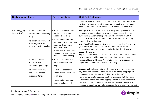| Unit\Lesson                     | <b>Aims</b>                                                                                                                                                      | Success criteria                                                                                                                                                                                                                                                                                                      | <b>Unit End Outcomes</b>                                                                                                                                                                                                                                                                                                                                                                                                                                                                                                                                                                                                                                                                                                            |
|---------------------------------|------------------------------------------------------------------------------------------------------------------------------------------------------------------|-----------------------------------------------------------------------------------------------------------------------------------------------------------------------------------------------------------------------------------------------------------------------------------------------------------------------|-------------------------------------------------------------------------------------------------------------------------------------------------------------------------------------------------------------------------------------------------------------------------------------------------------------------------------------------------------------------------------------------------------------------------------------------------------------------------------------------------------------------------------------------------------------------------------------------------------------------------------------------------------------------------------------------------------------------------------------|
|                                 |                                                                                                                                                                  |                                                                                                                                                                                                                                                                                                                       | communicating and sharing content online. They feel confident in<br>having strategies to help them promote a positive online image of<br>themselves and deal with issues that might arise in the future.                                                                                                                                                                                                                                                                                                                                                                                                                                                                                                                            |
| 6.4 - Blogging,<br>Lesson 4 & 5 | • To understand how to<br>contribute to an existing<br>blog.<br>• To understand how and<br>why blog posts are<br>approved by the teacher.<br>• To understand the | • Pupils can post comments<br>and blog posts to an<br>existing class blog.<br>• Pupils understand the<br>approval process that their<br>posts go through and<br>demonstrate an<br>awareness of the issues<br>surrounding inappropriate<br>posts and cyberbullying.<br>• Pupils can comment on<br>and respond to other | Emerging: Pupils are aware there is an approval process that their<br>posts go through and demonstrate an awareness of the issues<br>surrounding inappropriate posts and cyberbullying (Unit 6.4<br>Lesson 4. Point 6). Pupils understand the importance of being<br>respectful on the internet.<br><b>Expected:</b> Pupils recognise the approval process that their posts<br>go through and demonstrate an awareness of the issues<br>surrounding inappropriate posts and cyberbullying (Unit 6.4<br>Lesson 4. Point 6).<br>Pupils become active contributors to a blog, carefully considering<br>their responses to blog posts to ensure that they are always<br>respectful (Unit 6.4 Lesson 4. Point 12). Pupils understand the |
|                                 | importance of<br>commenting on blogs.<br>• To peer-assess blogs<br>against the agreed<br>success criteria.                                                       | blogs.<br>• Pupils can assess the<br>effectiveness and impact<br>of a blog.<br>• Pupils understand that<br>content included in their                                                                                                                                                                                  | implications of inappropriate use of the blog.<br><b>Exceeding:</b> Pupils understand why there is an approval process for<br>any posts and understand the issues surrounding inappropriate<br>posts and cyberbullying (Unit 6.4 Lesson 4. Point 6).<br>Pupils demonstrating greater depth, understand that 2Blog is an<br>introduction to the world of blogging and is a way for the user to<br>become a content creator on the internet. As such the content<br>included in their blog carefully considers the end user (Throughout                                                                                                                                                                                               |

#### **Need more support? Contact us:**